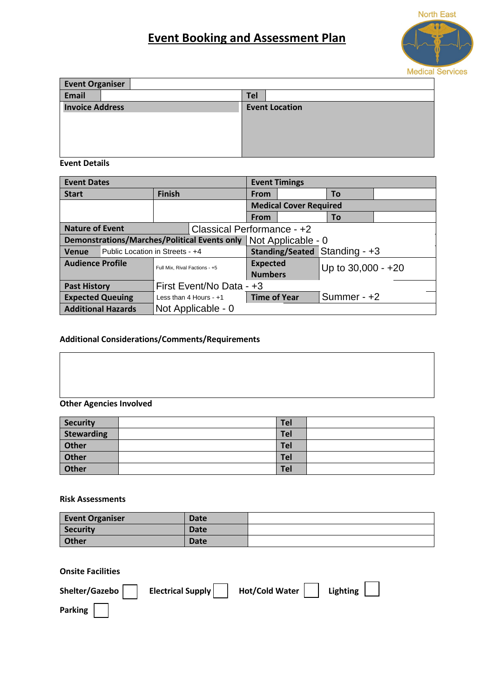

| <b>Event Organiser</b> |                       |
|------------------------|-----------------------|
| Email                  | <b>Tel</b>            |
| <b>Invoice Address</b> | <b>Event Location</b> |
|                        |                       |

### **Event Details**

| <b>Event Dates</b>                                                |                                                 |                               | <b>Event Timings</b>          |                     |                               |                      |  |  |
|-------------------------------------------------------------------|-------------------------------------------------|-------------------------------|-------------------------------|---------------------|-------------------------------|----------------------|--|--|
| <b>Start</b>                                                      |                                                 | <b>Finish</b>                 |                               | From                |                               | To                   |  |  |
|                                                                   |                                                 |                               | <b>Medical Cover Required</b> |                     |                               |                      |  |  |
|                                                                   |                                                 |                               | <b>From</b>                   |                     | To                            |                      |  |  |
| <b>Nature of Event</b><br>Classical Performance - +2              |                                                 |                               |                               |                     |                               |                      |  |  |
| Demonstrations/Marches/Political Events only   Not Applicable - 0 |                                                 |                               |                               |                     |                               |                      |  |  |
| Public Location in Streets - +4<br><b>Venue</b>                   |                                                 |                               |                               |                     | Standing/Seated Standing - +3 |                      |  |  |
| <b>Audience Profile</b>                                           |                                                 | Full Mix. Rival Factions - +5 |                               | <b>Expected</b>     |                               | Up to $30,000 - +20$ |  |  |
|                                                                   |                                                 |                               |                               | <b>Numbers</b>      |                               |                      |  |  |
|                                                                   | First Event/No Data - +3<br><b>Past History</b> |                               |                               |                     |                               |                      |  |  |
| <b>Expected Queuing</b>                                           |                                                 |                               | Less than $4$ Hours - $+1$    | <b>Time of Year</b> |                               | Summer - $+2$        |  |  |
| Not Applicable - 0<br><b>Additional Hazards</b>                   |                                                 |                               |                               |                     |                               |                      |  |  |

## **Additional Considerations/Comments/Requirements**

### **Other Agencies Involved**

| Security   | Tel        |  |
|------------|------------|--|
| Stewarding | <b>Tel</b> |  |
| Other      | <b>Tel</b> |  |
| Other      | <b>Tel</b> |  |
| Other      | <b>Tel</b> |  |

### **Risk Assessments**

| <b>Event Organiser</b> | <b>Date</b> |  |
|------------------------|-------------|--|
| <b>Security</b>        | <b>Date</b> |  |
| <b>Other</b>           | Date        |  |

| <b>Onsite Facilities</b> |                                                                       |  |
|--------------------------|-----------------------------------------------------------------------|--|
|                          | Shelter/Gazebo   Electrical Supply   Hot/Cold Water   Lighting $\Box$ |  |
| Parking                  |                                                                       |  |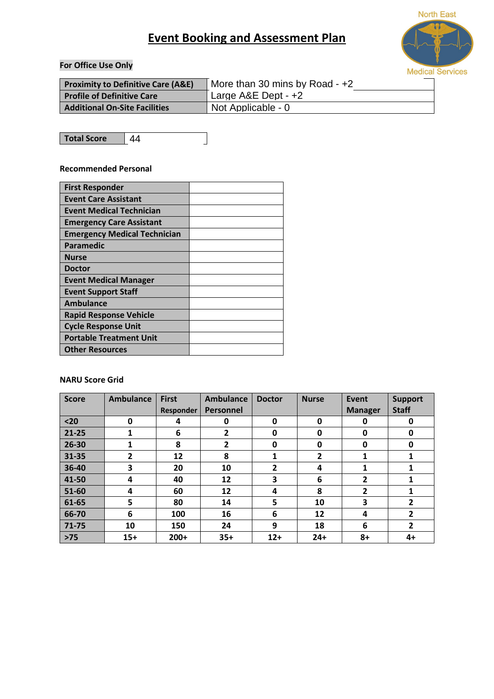# **Event Booking and Assessment Plan**



# **For Office Use Only**

| <b>Proximity to Definitive Care (A&amp;E)</b> | More than 30 mins by Road - $+2$ |
|-----------------------------------------------|----------------------------------|
| <b>Profile of Definitive Care</b>             | Large $A&E$ Dept - $+2$          |
| <b>Additional On-Site Facilities</b>          | Not Applicable - 0               |

 $\overline{\phantom{a}}$ 

**Total Score** 44

### **Recommended Personal**

| <b>First Responder</b>              |  |
|-------------------------------------|--|
| <b>Event Care Assistant</b>         |  |
| <b>Event Medical Technician</b>     |  |
| <b>Emergency Care Assistant</b>     |  |
| <b>Emergency Medical Technician</b> |  |
| Paramedic                           |  |
| <b>Nurse</b>                        |  |
| <b>Doctor</b>                       |  |
| <b>Event Medical Manager</b>        |  |
| <b>Event Support Staff</b>          |  |
| <b>Ambulance</b>                    |  |
| <b>Rapid Response Vehicle</b>       |  |
| <b>Cycle Response Unit</b>          |  |
| <b>Portable Treatment Unit</b>      |  |
| <b>Other Resources</b>              |  |

## **NARU Score Grid**

| Score     | <b>Ambulance</b> | <b>First</b> | Ambulance        | <b>Doctor</b> | <b>Nurse</b>   | Event          | <b>Support</b> |
|-----------|------------------|--------------|------------------|---------------|----------------|----------------|----------------|
|           |                  | Responder    | <b>Personnel</b> |               |                | <b>Manager</b> | <b>Staff</b>   |
| $20$      | 0                | 4            | 0                | 0             | 0              | 0              | 0              |
| $21 - 25$ | 1                | 6            | 2                | 0             | 0              | 0              | 0              |
| 26-30     | 1                | 8            | 2                | 0             | 0              | O              | 0              |
| 31-35     | 2                | 12           | 8                |               | $\overline{2}$ |                |                |
| 36-40     | 3                | 20           | 10               | $\mathbf{2}$  | 4              |                |                |
| 41-50     | 4                | 40           | 12               | 3             | 6              | $\overline{2}$ |                |
| 51-60     | 4                | 60           | 12               | 4             | 8              | $\overline{2}$ |                |
| 61-65     | 5                | 80           | 14               | 5             | 10             | 3              | $\overline{2}$ |
| 66-70     | 6                | 100          | 16               | 6             | 12             | 4              | $\overline{2}$ |
| $71-75$   | 10               | 150          | 24               | 9             | 18             | 6              | $\overline{2}$ |
| >75       | $15+$            | $200+$       | $35+$            | $12+$         | $24+$          | $8+$           | $4+$           |